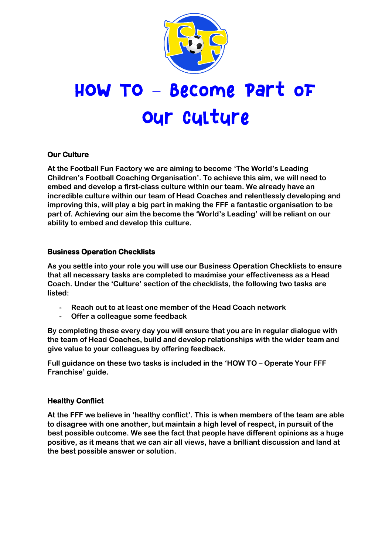

# HOW TO - Become Part of **Our culture**

## **Our Culture**

**At the Football Fun Factory we are aiming to become 'The World's Leading Children's Football Coaching Organisation'. To achieve this aim, we will need to embed and develop a first-class culture within our team. We already have an incredible culture within our team of Head Coaches and relentlessly developing and improving this, will play a big part in making the FFF a fantastic organisation to be part of. Achieving our aim the become the 'World's Leading' will be reliant on our ability to embed and develop this culture.**

## **Business Operation Checklists**

**As you settle into your role you will use our Business Operation Checklists to ensure that all necessary tasks are completed to maximise your effectiveness as a Head Coach. Under the 'Culture' section of the checklists, the following two tasks are listed:**

- **- Reach out to at least one member of the Head Coach network**
- **- Offer a colleague some feedback**

**By completing these every day you will ensure that you are in regular dialogue with the team of Head Coaches, build and develop relationships with the wider team and give value to your colleagues by offering feedback.**

**Full guidance on these two tasks is included in the 'HOW TO – Operate Your FFF Franchise' guide.**

## **Healthy Conflict**

**At the FFF we believe in 'healthy conflict'. This is when members of the team are able to disagree with one another, but maintain a high level of respect, in pursuit of the best possible outcome. We see the fact that people have different opinions as a huge positive, as it means that we can air all views, have a brilliant discussion and land at the best possible answer or solution.**